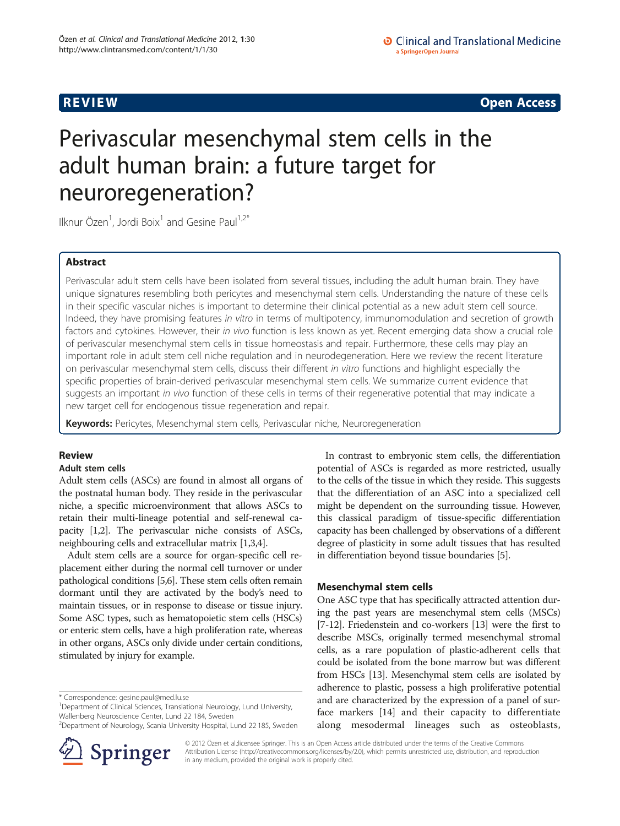**REVIEW CONSTRUCTION CONSTRUCTION CONSTRUCTS** 

# Perivascular mesenchymal stem cells in the adult human brain: a future target for neuroregeneration?

Ilknur Özen<sup>1</sup>, Jordi Boix<sup>1</sup> and Gesine Paul<sup>1,2\*</sup>

# Abstract

Perivascular adult stem cells have been isolated from several tissues, including the adult human brain. They have unique signatures resembling both pericytes and mesenchymal stem cells. Understanding the nature of these cells in their specific vascular niches is important to determine their clinical potential as a new adult stem cell source. Indeed, they have promising features in vitro in terms of multipotency, immunomodulation and secretion of growth factors and cytokines. However, their in vivo function is less known as yet. Recent emerging data show a crucial role of perivascular mesenchymal stem cells in tissue homeostasis and repair. Furthermore, these cells may play an important role in adult stem cell niche regulation and in neurodegeneration. Here we review the recent literature on perivascular mesenchymal stem cells, discuss their different in vitro functions and highlight especially the specific properties of brain-derived perivascular mesenchymal stem cells. We summarize current evidence that suggests an important in vivo function of these cells in terms of their regenerative potential that may indicate a new target cell for endogenous tissue regeneration and repair.

Keywords: Pericytes, Mesenchymal stem cells, Perivascular niche, Neuroregeneration

# Review

#### Adult stem cells

Adult stem cells (ASCs) are found in almost all organs of the postnatal human body. They reside in the perivascular niche, a specific microenvironment that allows ASCs to retain their multi-lineage potential and self-renewal capacity [\[1,2\]](#page-5-0). The perivascular niche consists of ASCs, neighbouring cells and extracellular matrix [[1,3,4](#page-5-0)].

Adult stem cells are a source for organ-specific cell replacement either during the normal cell turnover or under pathological conditions [[5,6](#page-5-0)]. These stem cells often remain dormant until they are activated by the body's need to maintain tissues, or in response to disease or tissue injury. Some ASC types, such as hematopoietic stem cells (HSCs) or enteric stem cells, have a high proliferation rate, whereas in other organs, ASCs only divide under certain conditions, stimulated by injury for example.

\* Correspondence: [gesine.paul@med.lu.se](mailto:gesine.paul@med.lu.se) <sup>1</sup>

<sup>&</sup>lt;sup>2</sup>Department of Neurology, Scania University Hospital, Lund 22 185, Sweden



In contrast to embryonic stem cells, the differentiation potential of ASCs is regarded as more restricted, usually to the cells of the tissue in which they reside. This suggests that the differentiation of an ASC into a specialized cell might be dependent on the surrounding tissue. However, this classical paradigm of tissue-specific differentiation capacity has been challenged by observations of a different degree of plasticity in some adult tissues that has resulted in differentiation beyond tissue boundaries [[5](#page-5-0)].

#### Mesenchymal stem cells

One ASC type that has specifically attracted attention during the past years are mesenchymal stem cells (MSCs) [[7-12\]](#page-5-0). Friedenstein and co-workers [\[13](#page-5-0)] were the first to describe MSCs, originally termed mesenchymal stromal cells, as a rare population of plastic-adherent cells that could be isolated from the bone marrow but was different from HSCs [\[13](#page-5-0)]. Mesenchymal stem cells are isolated by adherence to plastic, possess a high proliferative potential and are characterized by the expression of a panel of surface markers [\[14\]](#page-5-0) and their capacity to differentiate along mesodermal lineages such as osteoblasts,

© 2012 Özen et al.;licensee Springer. This is an Open Access article distributed under the terms of the Creative Commons Attribution License [\(http://creativecommons.org/licenses/by/2.0\)](http://creativecommons.org/licenses/by/2.0), which permits unrestricted use, distribution, and reproduction in any medium, provided the original work is properly cited.

<sup>&</sup>lt;sup>1</sup>Department of Clinical Sciences, Translational Neurology, Lund University, Wallenberg Neuroscience Center, Lund 22 184, Sweden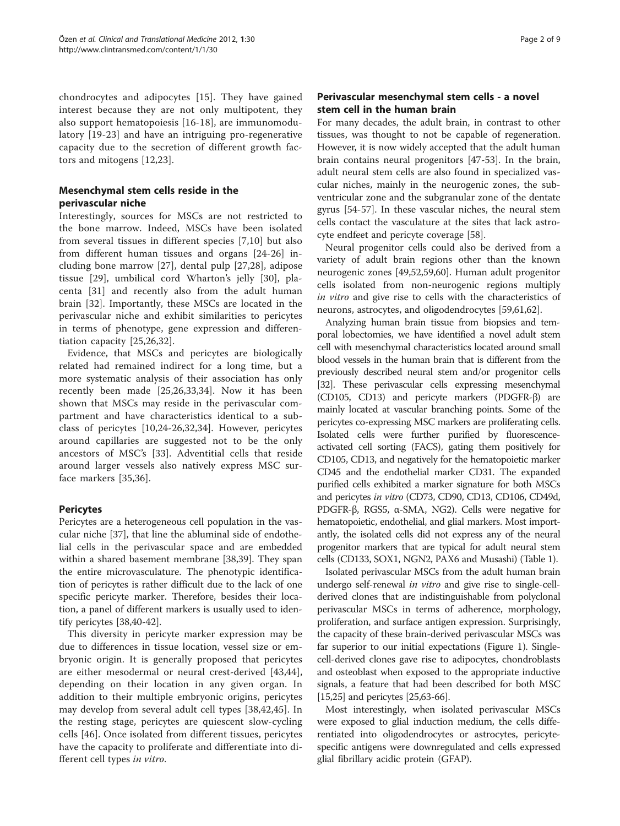chondrocytes and adipocytes [\[15\]](#page-5-0). They have gained interest because they are not only multipotent, they also support hematopoiesis [[16](#page-5-0)-[18](#page-5-0)], are immunomodulatory [[19](#page-5-0)-[23](#page-5-0)] and have an intriguing pro-regenerative capacity due to the secretion of different growth factors and mitogens [\[12](#page-5-0),[23\]](#page-5-0).

## Mesenchymal stem cells reside in the perivascular niche

Interestingly, sources for MSCs are not restricted to the bone marrow. Indeed, MSCs have been isolated from several tissues in different species [\[7](#page-5-0),[10\]](#page-5-0) but also from different human tissues and organs [[24-](#page-5-0)[26](#page-6-0)] including bone marrow [\[27](#page-6-0)], dental pulp [[27,28](#page-6-0)], adipose tissue [\[29](#page-6-0)], umbilical cord Wharton's jelly [\[30](#page-6-0)], placenta [[31](#page-6-0)] and recently also from the adult human brain [\[32](#page-6-0)]. Importantly, these MSCs are located in the perivascular niche and exhibit similarities to pericytes in terms of phenotype, gene expression and differentiation capacity [[25,](#page-5-0)[26,32](#page-6-0)].

Evidence, that MSCs and pericytes are biologically related had remained indirect for a long time, but a more systematic analysis of their association has only recently been made [\[25](#page-5-0)[,26](#page-6-0),[33,34](#page-6-0)]. Now it has been shown that MSCs may reside in the perivascular compartment and have characteristics identical to a subclass of pericytes [\[10](#page-5-0),[24-](#page-5-0)[26,32](#page-6-0),[34\]](#page-6-0). However, pericytes around capillaries are suggested not to be the only ancestors of MSC's [\[33](#page-6-0)]. Adventitial cells that reside around larger vessels also natively express MSC surface markers [\[35](#page-6-0),[36\]](#page-6-0).

# Pericytes

Pericytes are a heterogeneous cell population in the vascular niche [[37](#page-6-0)], that line the abluminal side of endothelial cells in the perivascular space and are embedded within a shared basement membrane [\[38,39\]](#page-6-0). They span the entire microvasculature. The phenotypic identification of pericytes is rather difficult due to the lack of one specific pericyte marker. Therefore, besides their location, a panel of different markers is usually used to identify pericytes [[38,40-42\]](#page-6-0).

This diversity in pericyte marker expression may be due to differences in tissue location, vessel size or embryonic origin. It is generally proposed that pericytes are either mesodermal or neural crest-derived [[43,44](#page-6-0)], depending on their location in any given organ. In addition to their multiple embryonic origins, pericytes may develop from several adult cell types [\[38](#page-6-0),[42,45\]](#page-6-0). In the resting stage, pericytes are quiescent slow-cycling cells [[46](#page-6-0)]. Once isolated from different tissues, pericytes have the capacity to proliferate and differentiate into different cell types in vitro.

# Perivascular mesenchymal stem cells - a novel stem cell in the human brain

For many decades, the adult brain, in contrast to other tissues, was thought to not be capable of regeneration. However, it is now widely accepted that the adult human brain contains neural progenitors [[47-53\]](#page-6-0). In the brain, adult neural stem cells are also found in specialized vascular niches, mainly in the neurogenic zones, the subventricular zone and the subgranular zone of the dentate gyrus [[54](#page-6-0)-[57\]](#page-6-0). In these vascular niches, the neural stem cells contact the vasculature at the sites that lack astrocyte endfeet and pericyte coverage [[58\]](#page-6-0).

Neural progenitor cells could also be derived from a variety of adult brain regions other than the known neurogenic zones [[49,52,59,60\]](#page-6-0). Human adult progenitor cells isolated from non-neurogenic regions multiply in vitro and give rise to cells with the characteristics of neurons, astrocytes, and oligodendrocytes [\[59,61,62\]](#page-6-0).

Analyzing human brain tissue from biopsies and temporal lobectomies, we have identified a novel adult stem cell with mesenchymal characteristics located around small blood vessels in the human brain that is different from the previously described neural stem and/or progenitor cells [[32](#page-6-0)]. These perivascular cells expressing mesenchymal (CD105, CD13) and pericyte markers (PDGFR-β) are mainly located at vascular branching points. Some of the pericytes co-expressing MSC markers are proliferating cells. Isolated cells were further purified by fluorescenceactivated cell sorting (FACS), gating them positively for CD105, CD13, and negatively for the hematopoietic marker CD45 and the endothelial marker CD31. The expanded purified cells exhibited a marker signature for both MSCs and pericytes in vitro (CD73, CD90, CD13, CD106, CD49d, PDGFR-β, RGS5, α-SMA, NG2). Cells were negative for hematopoietic, endothelial, and glial markers. Most importantly, the isolated cells did not express any of the neural progenitor markers that are typical for adult neural stem cells (CD133, SOX1, NGN2, PAX6 and Musashi) (Table [1](#page-2-0)).

Isolated perivascular MSCs from the adult human brain undergo self-renewal in vitro and give rise to single-cellderived clones that are indistinguishable from polyclonal perivascular MSCs in terms of adherence, morphology, proliferation, and surface antigen expression. Surprisingly, the capacity of these brain-derived perivascular MSCs was far superior to our initial expectations (Figure [1](#page-3-0)). Singlecell-derived clones gave rise to adipocytes, chondroblasts and osteoblast when exposed to the appropriate inductive signals, a feature that had been described for both MSC [[15,25](#page-5-0)] and pericytes [\[25,](#page-5-0)[63](#page-6-0)-[66](#page-6-0)].

Most interestingly, when isolated perivascular MSCs were exposed to glial induction medium, the cells differentiated into oligodendrocytes or astrocytes, pericytespecific antigens were downregulated and cells expressed glial fibrillary acidic protein (GFAP).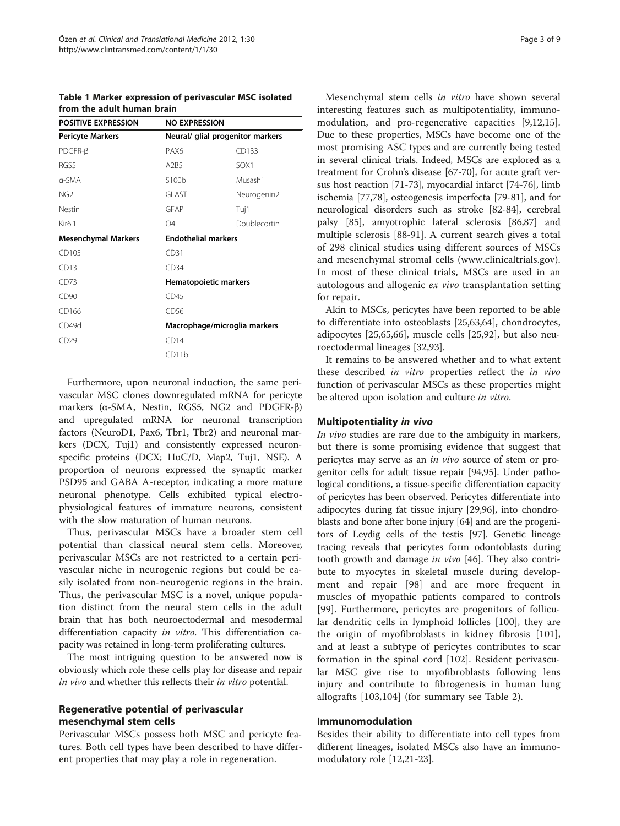<span id="page-2-0"></span>

| Table 1 Marker expression of perivascular MSC isolated |  |
|--------------------------------------------------------|--|
| from the adult human brain                             |  |

| <b>POSITIVE EXPRESSION</b> | <b>NO EXPRESSION</b>          |                                  |  |  |
|----------------------------|-------------------------------|----------------------------------|--|--|
| <b>Pericyte Markers</b>    |                               | Neural/ glial progenitor markers |  |  |
| $PDGFR-\beta$              | PAX6                          | CD133                            |  |  |
| RGS5                       | A <sub>2</sub> B <sub>5</sub> | SOX1                             |  |  |
| $a-SMA$                    | S100b                         | Musashi                          |  |  |
| NG <sub>2</sub>            | <b>GLAST</b><br>Neurogenin2   |                                  |  |  |
| Nestin                     | <b>GFAP</b>                   | Tuj1                             |  |  |
| Kir6.1                     | O <sub>4</sub>                | Doublecortin                     |  |  |
| <b>Mesenchymal Markers</b> | <b>Endothelial markers</b>    |                                  |  |  |
| CD105                      | CD31                          |                                  |  |  |
| CD13                       | CD34                          |                                  |  |  |
| CD73                       |                               | Hematopoietic markers            |  |  |
| CD <sub>90</sub>           | CD45                          |                                  |  |  |
| CD166                      | CD <sub>56</sub>              |                                  |  |  |
| CD49d                      |                               | Macrophage/microglia markers     |  |  |
| CD29                       | CD14                          |                                  |  |  |
|                            | CD11b                         |                                  |  |  |

Furthermore, upon neuronal induction, the same perivascular MSC clones downregulated mRNA for pericyte markers (α-SMA, Nestin, RGS5, NG2 and PDGFR-β) and upregulated mRNA for neuronal transcription factors (NeuroD1, Pax6, Tbr1, Tbr2) and neuronal markers (DCX, Tuj1) and consistently expressed neuronspecific proteins (DCX; HuC/D, Map2, Tuj1, NSE). A proportion of neurons expressed the synaptic marker PSD95 and GABA A-receptor, indicating a more mature neuronal phenotype. Cells exhibited typical electrophysiological features of immature neurons, consistent with the slow maturation of human neurons.

Thus, perivascular MSCs have a broader stem cell potential than classical neural stem cells. Moreover, perivascular MSCs are not restricted to a certain perivascular niche in neurogenic regions but could be easily isolated from non-neurogenic regions in the brain. Thus, the perivascular MSC is a novel, unique population distinct from the neural stem cells in the adult brain that has both neuroectodermal and mesodermal differentiation capacity in vitro. This differentiation capacity was retained in long-term proliferating cultures.

The most intriguing question to be answered now is obviously which role these cells play for disease and repair in vivo and whether this reflects their in vitro potential.

### Regenerative potential of perivascular mesenchymal stem cells

Perivascular MSCs possess both MSC and pericyte features. Both cell types have been described to have different properties that may play a role in regeneration.

Mesenchymal stem cells in vitro have shown several interesting features such as multipotentiality, immunomodulation, and pro-regenerative capacities [\[9,12,15](#page-5-0)]. Due to these properties, MSCs have become one of the most promising ASC types and are currently being tested in several clinical trials. Indeed, MSCs are explored as a treatment for Crohn's disease [[67](#page-6-0)-[70](#page-6-0)], for acute graft versus host reaction [\[71-73](#page-7-0)], myocardial infarct [\[74](#page-7-0)-[76](#page-7-0)], limb ischemia [\[77,78](#page-7-0)], osteogenesis imperfecta [[79](#page-7-0)-[81](#page-7-0)], and for neurological disorders such as stroke [\[82-84\]](#page-7-0), cerebral palsy [\[85\]](#page-7-0), amyotrophic lateral sclerosis [[86,87](#page-7-0)] and multiple sclerosis [\[88](#page-7-0)-[91](#page-7-0)]. A current search gives a total of 298 clinical studies using different sources of MSCs and mesenchymal stromal cells ([www.clinicaltrials.gov](http://www.clinicaltrials.gov)). In most of these clinical trials, MSCs are used in an autologous and allogenic ex vivo transplantation setting for repair.

Akin to MSCs, pericytes have been reported to be able to differentiate into osteoblasts [\[25](#page-5-0)[,63,64](#page-6-0)], chondrocytes, adipocytes [[25,](#page-5-0)[65,66\]](#page-6-0), muscle cells [[25,](#page-5-0)[92\]](#page-7-0), but also neuroectodermal lineages [\[32](#page-6-0)[,93](#page-7-0)].

It remains to be answered whether and to what extent these described in vitro properties reflect the in vivo function of perivascular MSCs as these properties might be altered upon isolation and culture in vitro.

#### Multipotentiality in vivo

In vivo studies are rare due to the ambiguity in markers, but there is some promising evidence that suggest that pericytes may serve as an in vivo source of stem or progenitor cells for adult tissue repair [\[94,95](#page-7-0)]. Under pathological conditions, a tissue-specific differentiation capacity of pericytes has been observed. Pericytes differentiate into adipocytes during fat tissue injury [\[29,](#page-6-0)[96\]](#page-7-0), into chondroblasts and bone after bone injury [[64](#page-6-0)] and are the progenitors of Leydig cells of the testis [[97\]](#page-7-0). Genetic lineage tracing reveals that pericytes form odontoblasts during tooth growth and damage in vivo [\[46](#page-6-0)]. They also contribute to myocytes in skeletal muscle during development and repair [[98\]](#page-7-0) and are more frequent in muscles of myopathic patients compared to controls [[99](#page-7-0)]. Furthermore, pericytes are progenitors of follicular dendritic cells in lymphoid follicles [\[100](#page-7-0)], they are the origin of myofibroblasts in kidney fibrosis [\[101](#page-7-0)], and at least a subtype of pericytes contributes to scar formation in the spinal cord [\[102](#page-7-0)]. Resident perivascular MSC give rise to myofibroblasts following lens injury and contribute to fibrogenesis in human lung allografts [[103,104](#page-7-0)] (for summary see Table [2](#page-3-0)).

#### Immunomodulation

Besides their ability to differentiate into cell types from different lineages, isolated MSCs also have an immunomodulatory role [[12](#page-5-0),[21](#page-5-0)-[23\]](#page-5-0).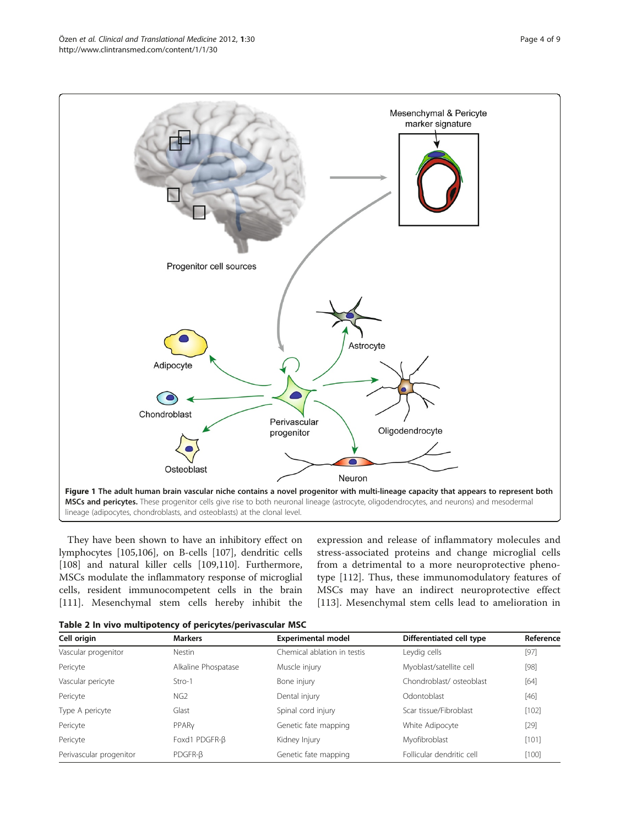<span id="page-3-0"></span>

They have been shown to have an inhibitory effect on lymphocytes [\[105,106\]](#page-7-0), on B-cells [[107\]](#page-7-0), dendritic cells [[108\]](#page-8-0) and natural killer cells [\[109,110\]](#page-8-0). Furthermore, MSCs modulate the inflammatory response of microglial cells, resident immunocompetent cells in the brain [[111\]](#page-8-0). Mesenchymal stem cells hereby inhibit the

expression and release of inflammatory molecules and stress-associated proteins and change microglial cells from a detrimental to a more neuroprotective phenotype [\[112](#page-8-0)]. Thus, these immunomodulatory features of MSCs may have an indirect neuroprotective effect [[113\]](#page-8-0). Mesenchymal stem cells lead to amelioration in

|  |  |  |  | Table 2 In vivo multipotency of pericytes/perivascular MSC |  |  |  |  |  |
|--|--|--|--|------------------------------------------------------------|--|--|--|--|--|
|--|--|--|--|------------------------------------------------------------|--|--|--|--|--|

| Cell origin             | <b>Markers</b>      | <b>Experimental model</b>   | Differentiated cell type  | Reference |  |
|-------------------------|---------------------|-----------------------------|---------------------------|-----------|--|
| Vascular progenitor     | Nestin              | Chemical ablation in testis | Leydig cells              | $[97]$    |  |
| Pericyte                | Alkaline Phospatase | Muscle injury               | Myoblast/satellite cell   | $[98]$    |  |
| Vascular pericyte       | Stro-1              | Bone injury                 | Chondroblast/osteoblast   | $[64]$    |  |
| Pericyte                | NG <sub>2</sub>     | Dental injury               | Odontoblast               | $[46]$    |  |
| Type A pericyte         | Glast               | Spinal cord injury          | Scar tissue/Fibroblast    | [102]     |  |
| Pericyte                | PPARy               | Genetic fate mapping        | White Adipocyte           | $[29]$    |  |
| Pericyte                | Foxd1 PDGFR-B       | Kidney Injury               | Myofibroblast             | [101]     |  |
| Perivascular progenitor | $PDGFR-B$           | Genetic fate mapping        | Follicular dendritic cell | [100]     |  |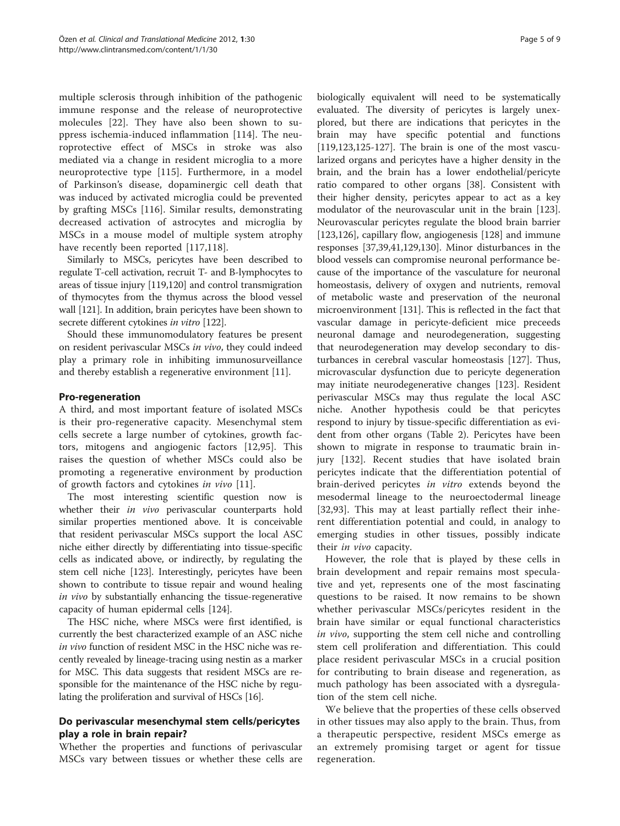multiple sclerosis through inhibition of the pathogenic immune response and the release of neuroprotective molecules [[22\]](#page-5-0). They have also been shown to suppress ischemia-induced inflammation [[114](#page-8-0)]. The neuroprotective effect of MSCs in stroke was also mediated via a change in resident microglia to a more neuroprotective type [\[115](#page-8-0)]. Furthermore, in a model of Parkinson's disease, dopaminergic cell death that was induced by activated microglia could be prevented by grafting MSCs [[116\]](#page-8-0). Similar results, demonstrating decreased activation of astrocytes and microglia by MSCs in a mouse model of multiple system atrophy have recently been reported [[117,118](#page-8-0)].

Similarly to MSCs, pericytes have been described to regulate T-cell activation, recruit T- and B-lymphocytes to areas of tissue injury [\[119,120](#page-8-0)] and control transmigration of thymocytes from the thymus across the blood vessel wall [\[121](#page-8-0)]. In addition, brain pericytes have been shown to secrete different cytokines in vitro [\[122](#page-8-0)].

Should these immunomodulatory features be present on resident perivascular MSCs in vivo, they could indeed play a primary role in inhibiting immunosurveillance and thereby establish a regenerative environment [\[11](#page-5-0)].

### Pro-regeneration

A third, and most important feature of isolated MSCs is their pro-regenerative capacity. Mesenchymal stem cells secrete a large number of cytokines, growth factors, mitogens and angiogenic factors [[12,](#page-5-0)[95](#page-7-0)]. This raises the question of whether MSCs could also be promoting a regenerative environment by production of growth factors and cytokines in vivo [[11](#page-5-0)].

The most interesting scientific question now is whether their in vivo perivascular counterparts hold similar properties mentioned above. It is conceivable that resident perivascular MSCs support the local ASC niche either directly by differentiating into tissue-specific cells as indicated above, or indirectly, by regulating the stem cell niche [\[123\]](#page-8-0). Interestingly, pericytes have been shown to contribute to tissue repair and wound healing in vivo by substantially enhancing the tissue-regenerative capacity of human epidermal cells [\[124\]](#page-8-0).

The HSC niche, where MSCs were first identified, is currently the best characterized example of an ASC niche in vivo function of resident MSC in the HSC niche was recently revealed by lineage-tracing using nestin as a marker for MSC. This data suggests that resident MSCs are responsible for the maintenance of the HSC niche by regulating the proliferation and survival of HSCs [\[16](#page-5-0)].

# Do perivascular mesenchymal stem cells/pericytes play a role in brain repair?

Whether the properties and functions of perivascular MSCs vary between tissues or whether these cells are

biologically equivalent will need to be systematically evaluated. The diversity of pericytes is largely unexplored, but there are indications that pericytes in the brain may have specific potential and functions [[119,123](#page-8-0),[125](#page-8-0)-[127\]](#page-8-0). The brain is one of the most vascularized organs and pericytes have a higher density in the brain, and the brain has a lower endothelial/pericyte ratio compared to other organs [\[38](#page-6-0)]. Consistent with their higher density, pericytes appear to act as a key modulator of the neurovascular unit in the brain [[123](#page-8-0)]. Neurovascular pericytes regulate the blood brain barrier [[123,126](#page-8-0)], capillary flow, angiogenesis [\[128](#page-8-0)] and immune responses [[37](#page-6-0),[39,41](#page-6-0)[,129,130\]](#page-8-0). Minor disturbances in the blood vessels can compromise neuronal performance because of the importance of the vasculature for neuronal homeostasis, delivery of oxygen and nutrients, removal of metabolic waste and preservation of the neuronal microenvironment [[131\]](#page-8-0). This is reflected in the fact that vascular damage in pericyte-deficient mice preceeds neuronal damage and neurodegeneration, suggesting that neurodegeneration may develop secondary to disturbances in cerebral vascular homeostasis [\[127\]](#page-8-0). Thus, microvascular dysfunction due to pericyte degeneration may initiate neurodegenerative changes [[123\]](#page-8-0). Resident perivascular MSCs may thus regulate the local ASC niche. Another hypothesis could be that pericytes respond to injury by tissue-specific differentiation as evident from other organs (Table [2](#page-3-0)). Pericytes have been shown to migrate in response to traumatic brain injury [[132\]](#page-8-0). Recent studies that have isolated brain pericytes indicate that the differentiation potential of brain-derived pericytes in vitro extends beyond the mesodermal lineage to the neuroectodermal lineage [[32](#page-6-0)[,93](#page-7-0)]. This may at least partially reflect their inherent differentiation potential and could, in analogy to emerging studies in other tissues, possibly indicate their *in vivo* capacity.

However, the role that is played by these cells in brain development and repair remains most speculative and yet, represents one of the most fascinating questions to be raised. It now remains to be shown whether perivascular MSCs/pericytes resident in the brain have similar or equal functional characteristics in vivo, supporting the stem cell niche and controlling stem cell proliferation and differentiation. This could place resident perivascular MSCs in a crucial position for contributing to brain disease and regeneration, as much pathology has been associated with a dysregulation of the stem cell niche.

We believe that the properties of these cells observed in other tissues may also apply to the brain. Thus, from a therapeutic perspective, resident MSCs emerge as an extremely promising target or agent for tissue regeneration.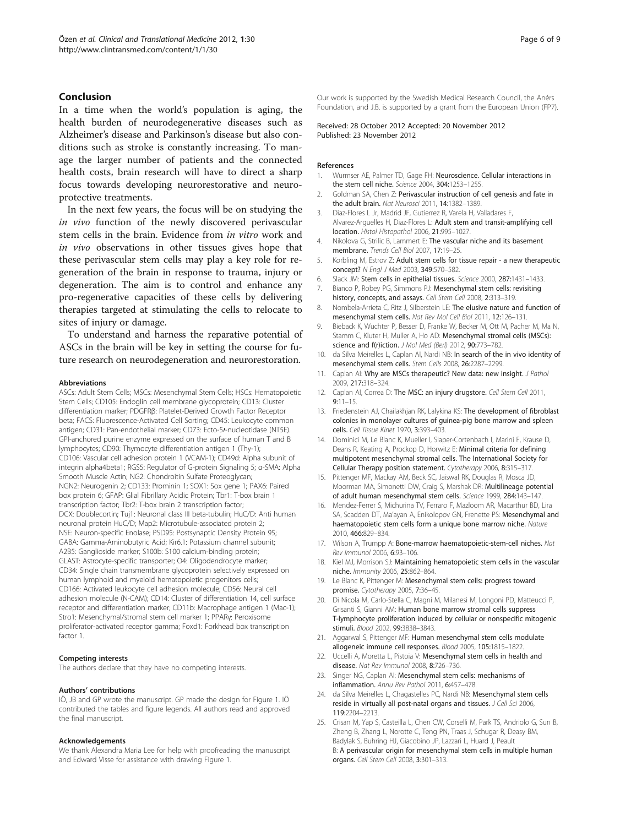#### <span id="page-5-0"></span>Conclusion

In a time when the world's population is aging, the health burden of neurodegenerative diseases such as Alzheimer's disease and Parkinson's disease but also conditions such as stroke is constantly increasing. To manage the larger number of patients and the connected health costs, brain research will have to direct a sharp focus towards developing neurorestorative and neuroprotective treatments.

In the next few years, the focus will be on studying the in vivo function of the newly discovered perivascular stem cells in the brain. Evidence from in vitro work and in vivo observations in other tissues gives hope that these perivascular stem cells may play a key role for regeneration of the brain in response to trauma, injury or degeneration. The aim is to control and enhance any pro-regenerative capacities of these cells by delivering therapies targeted at stimulating the cells to relocate to sites of injury or damage.

To understand and harness the reparative potential of ASCs in the brain will be key in setting the course for future research on neurodegeneration and neurorestoration.

#### Abbreviations

ASCs: Adult Stem Cells; MSCs: Mesenchymal Stem Cells; HSCs: Hematopoietic Stem Cells; CD105: Endoglin cell membrane glycoprotein; CD13: Cluster differentiation marker; PDGFRβ: Platelet-Derived Growth Factor Receptor beta; FACS: Fluorescence-Activated Cell Sorting; CD45: Leukocyte common antigen; CD31: Pan-endothelial marker; CD73: Ecto-5/-nucleotidase (NT5E). GPI-anchored purine enzyme expressed on the surface of human T and B lymphocytes; CD90: Thymocyte differentiation antigen 1 (Thy-1); CD106: Vascular cell adhesion protein 1 (VCAM-1); CD49d: Alpha subunit of integrin alpha4beta1; RGS5: Regulator of G-protein Signaling 5; α-SMA: Alpha Smooth Muscle Actin; NG2: Chondroitin Sulfate Proteoglycan; NGN2: Neurogenin 2; CD133: Prominin 1; SOX1: Sox gene 1; PAX6: Paired box protein 6; GFAP: Glial Fibrillary Acidic Protein; Tbr1: T-box brain 1 transcription factor; Tbr2: T-box brain 2 transcription factor; DCX: Doublecortin; Tuj1: Neuronal class III beta-tubulin; HuC/D: Anti human neuronal protein HuC/D; Map2: Microtubule-associated protein 2; NSE: Neuron-specific Enolase; PSD95: Postsynaptic Density Protein 95; GABA: Gamma-Aminobutyric Acid; Kir6.1: Potassium channel subunit; A2B5: Ganglioside marker; S100b: S100 calcium-binding protein; GLAST: Astrocyte-specific transporter; O4: Oligodendrocyte marker; CD34: Single chain transmembrane glycoprotein selectively expressed on human lymphoid and myeloid hematopoietic progenitors cells; CD166: Activated leukocyte cell adhesion molecule; CD56: Neural cell adhesion molecule (N-CAM); CD14: Cluster of differentiation 14, cell surface receptor and differentiation marker; CD11b: Macrophage antigen 1 (Mac-1); Stro1: Mesenchymal/stromal stem cell marker 1; PPARγ: Peroxisome proliferator-activated receptor gamma; Foxd1: Forkhead box transcription factor 1.

#### Competing interests

The authors declare that they have no competing interests.

#### Authors' contributions

IÖ, JB and GP wrote the manuscript. GP made the design for Figure 1. IÖ contributed the tables and figure legends. All authors read and approved the final manuscript.

#### Acknowledgements

We thank Alexandra Maria Lee for help with proofreading the manuscript and Edward Visse for assistance with drawing Figure 1.

Our work is supported by the Swedish Medical Research Council, the Anérs Foundation, and J.B. is supported by a grant from the European Union (FP7).

Received: 28 October 2012 Accepted: 20 November 2012 Published: 23 November 2012

#### References

- Wurmser AE, Palmer TD, Gage FH: Neuroscience. Cellular interactions in the stem cell niche. Science 2004, 304:1253–1255.
- 2. Goldman SA, Chen Z: Perivascular instruction of cell genesis and fate in the adult brain. Nat Neurosci 2011, 14:1382–1389.
- 3. Diaz-Flores L Jr, Madrid JF, Gutierrez R, Varela H, Valladares F, Alvarez-Arguelles H, Diaz-Flores L: Adult stem and transit-amplifying cell location. Histol Histopathol 2006, 21:995–1027.
- 4. Nikolova G, Strilic B, Lammert E: The vascular niche and its basement membrane. Trends Cell Biol 2007, 17:19–25.
- 5. Korbling M, Estrov Z: Adult stem cells for tissue repair a new therapeutic concept? N Engl J Med 2003, 349:570-582.
- 6. Slack JM: Stem cells in epithelial tissues. Science 2000, 287:1431–1433.
- 7. Bianco P, Robey PG, Simmons PJ: Mesenchymal stem cells: revisiting history, concepts, and assays. Cell Stem Cell 2008, 2:313–319.
- 8. Nombela-Arrieta C, Ritz J, Silberstein LE: The elusive nature and function of mesenchymal stem cells. Nat Rev Mol Cell Biol 2011, 12:126–131.
- 9. Bieback K, Wuchter P, Besser D, Franke W, Becker M, Ott M, Pacher M, Ma N, Stamm C, Kluter H, Muller A, Ho AD: Mesenchymal stromal cells (MSCs): science and f(r)iction. J Mol Med (Berl) 2012, 90:773-782.
- 10. da Silva Meirelles L, Caplan AI, Nardi NB: In search of the in vivo identity of mesenchymal stem cells. Stem Cells 2008, 26:2287–2299.
- 11. Caplan AI: Why are MSCs therapeutic? New data: new insight. J Pathol 2009, 217:318–324.
- 12. Caplan AI, Correa D: The MSC: an injury drugstore. Cell Stem Cell 2011, 9:11–15.
- 13. Friedenstein AJ, Chailakhjan RK, Lalykina KS: The development of fibroblast colonies in monolayer cultures of guinea-pig bone marrow and spleen cells. Cell Tissue Kinet 1970, 3:393–403.
- 14. Dominici M, Le Blanc K, Mueller I, Slaper-Cortenbach I, Marini F, Krause D, Deans R, Keating A, Prockop D, Horwitz E: Minimal criteria for defining multipotent mesenchymal stromal cells. The International Society for Cellular Therapy position statement. Cytotherapy 2006, 8:315–317.
- 15. Pittenger MF, Mackay AM, Beck SC, Jaiswal RK, Douglas R, Mosca JD, Moorman MA, Simonetti DW, Craig S, Marshak DR: Multilineage potential of adult human mesenchymal stem cells. Science 1999, 284:143–147.
- 16. Mendez-Ferrer S, Michurina TV, Ferraro F, Mazloom AR, Macarthur BD, Lira SA, Scadden DT, Ma'ayan A, Enikolopov GN, Frenette PS: Mesenchymal and haematopoietic stem cells form a unique bone marrow niche. Nature 2010, 466:829–834.
- 17. Wilson A, Trumpp A: Bone-marrow haematopoietic-stem-cell niches. Nat Rev Immunol 2006, 6:93–106.
- 18. Kiel MJ, Morrison SJ: Maintaining hematopoietic stem cells in the vascular niche. Immunity 2006, 25:862–864.
- 19. Le Blanc K, Pittenger M: Mesenchymal stem cells: progress toward promise. Cytotherapy 2005, 7:36–45.
- 20. Di Nicola M, Carlo-Stella C, Magni M, Milanesi M, Longoni PD, Matteucci P, Grisanti S, Gianni AM: Human bone marrow stromal cells suppress T-lymphocyte proliferation induced by cellular or nonspecific mitogenic stimuli. Blood 2002, 99:3838–3843.
- 21. Aggarwal S, Pittenger MF: Human mesenchymal stem cells modulate allogeneic immune cell responses. Blood 2005, 105:1815–1822.
- 22. Uccelli A, Moretta L, Pistoia V: Mesenchymal stem cells in health and disease. Nat Rev Immunol 2008, 8:726-736.
- 23. Singer NG, Caplan AI: Mesenchymal stem cells: mechanisms of inflammation. Annu Rev Pathol 2011, 6:457–478.
- 24. da Silva Meirelles L, Chagastelles PC, Nardi NB: Mesenchymal stem cells reside in virtually all post-natal organs and tissues. J Cell Sci 2006, 119:2204–2213.
- 25. Crisan M, Yap S, Casteilla L, Chen CW, Corselli M, Park TS, Andriolo G, Sun B, Zheng B, Zhang L, Norotte C, Teng PN, Traas J, Schugar R, Deasy BM, Badylak S, Buhring HJ, Giacobino JP, Lazzari L, Huard J, Peault B: A perivascular origin for mesenchymal stem cells in multiple human organs. Cell Stem Cell 2008, 3:301–313.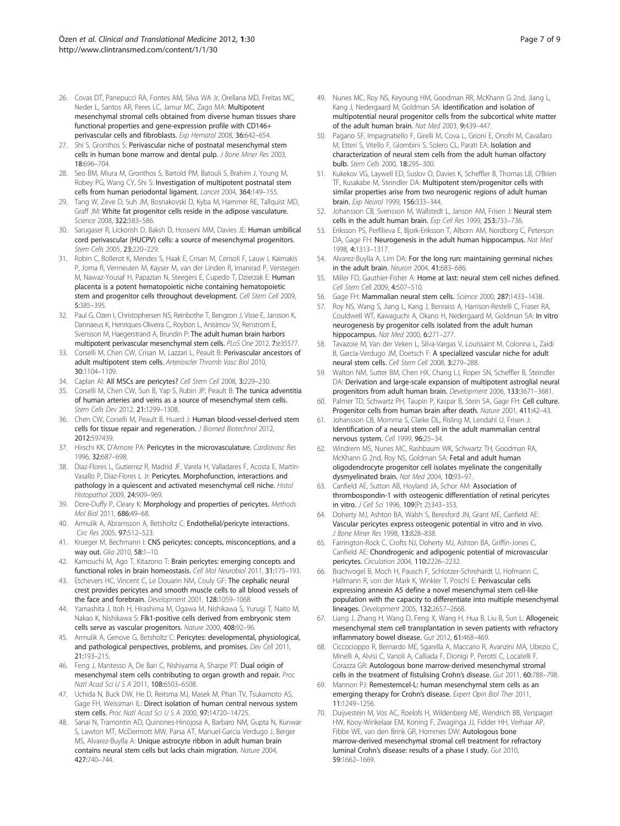- <span id="page-6-0"></span>26. Covas DT, Panepucci RA, Fontes AM, Silva WA Jr, Orellana MD, Freitas MC, Neder L, Santos AR, Peres LC, Jamur MC, Zago MA: Multipotent mesenchymal stromal cells obtained from diverse human tissues share functional properties and gene-expression profile with CD146+ perivascular cells and fibroblasts. Exp Hematol 2008, 36:642–654.
- 27. Shi S, Gronthos S: Perivascular niche of postnatal mesenchymal stem cells in human bone marrow and dental pulp. J Bone Miner Res 2003, 18:696–704.
- 28. Seo BM, Miura M, Gronthos S, Bartold PM, Batouli S, Brahim J, Young M, Robey PG, Wang CY, Shi S: Investigation of multipotent postnatal stem cells from human periodontal ligament. Lancet 2004, 364:149–155.
- 29. Tang W, Zeve D, Suh JM, Bosnakovski D, Kyba M, Hammer RE, Tallquist MD, Graff JM: White fat progenitor cells reside in the adipose vasculature. Science 2008, 322:583–586.
- 30. Sarugaser R, Lickorish D, Baksh D, Hosseini MM, Davies JE: Human umbilical cord perivascular (HUCPV) cells: a source of mesenchymal progenitors. Stem Cells 2005, 23:220–229.
- 31. Robin C, Bollerot K, Mendes S, Haak E, Crisan M, Cerisoli F, Lauw I, Kaimakis P, Jorna R, Vermeulen M, Kayser M, van der Linden R, Imanirad P, Verstegen M, Nawaz-Yousaf H, Papazian N, Steegers E, Cupedo T, Dzierzak E: Human placenta is a potent hematopoietic niche containing hematopoietic stem and progenitor cells throughout development. Cell Stem Cell 2009, 5:385–395.
- 32. Paul G, Ozen I, Christophersen NS, Reinbothe T, Bengzon J, Visse E, Jansson K, Dannaeus K, Henriques-Oliveira C, Roybon L, Anisimov SV, Renstrom E, Svensson M, Haegerstrand A, Brundin P: The adult human brain harbors multipotent perivascular mesenchymal stem cells. PLoS One 2012, 7:e35577.
- 33. Corselli M, Chen CW, Crisan M, Lazzari L, Peault B: Perivascular ancestors of adult multipotent stem cells. Arterioscler Thromb Vasc Biol 2010, 30:1104–1109.
- 34. Caplan AI: All MSCs are pericytes? Cell Stem Cell 2008, 3:229-230.
- 35. Corselli M, Chen CW, Sun B, Yap S, Rubin JP, Peault B: The tunica adventitia of human arteries and veins as a source of mesenchymal stem cells. Stem Cells Dev 2012, 21:1299–1308.
- 36. Chen CW, Corselli M, Peault B, Huard J: Human blood-vessel-derived stem cells for tissue repair and regeneration. J Biomed Biotechnol 2012, 2012:597439.
- 37. Hirschi KK, D'Amore PA: Pericytes in the microvasculature. Cardiovasc Res 1996, 32:687–698.
- 38. Diaz-Flores L, Gutierrez R, Madrid JF, Varela H, Valladares F, Acosta E, Martin-Vasallo P, Diaz-Flores L Jr: Pericytes. Morphofunction, interactions and pathology in a quiescent and activated mesenchymal cell niche. Histol Histopathol 2009, 24:909–969.
- 39. Dore-Duffy P, Cleary K: Morphology and properties of pericytes. Methods Mol Biol 2011, 686:49–68.
- 40. Armulik A, Abramsson A, Betsholtz C: Endothelial/pericyte interactions. Circ Res 2005, 97:512–523.
- 41. Krueger M, Bechmann I: CNS pericytes: concepts, misconceptions, and a way out. Glia 2010, 58:1–10.
- 42. Kamouchi M, Ago T, Kitazono T: Brain pericytes: emerging concepts and functional roles in brain homeostasis. Cell Mol Neurobiol 2011, 31:175–193.
- 43. Etchevers HC, Vincent C, Le Douarin NM, Couly GF: The cephalic neural crest provides pericytes and smooth muscle cells to all blood vessels of the face and forebrain. Development 2001, 128:1059–1068.
- 44. Yamashita J, Itoh H, Hirashima M, Ogawa M, Nishikawa S, Yurugi T, Naito M, Nakao K, Nishikawa S: Flk1-positive cells derived from embryonic stem cells serve as vascular progenitors. Nature 2000, 408:92–96.
- 45. Armulik A, Genove G, Betsholtz C: Pericytes: developmental, physiological, and pathological perspectives, problems, and promises. Dev Cell 2011, 21:193–215.
- 46. Feng J, Mantesso A, De Bari C, Nishiyama A, Sharpe PT: Dual origin of mesenchymal stem cells contributing to organ growth and repair. Proc Natl Acad Sci U S A 2011, 108:6503–6508.
- 47. Uchida N, Buck DW, He D, Reitsma MJ, Masek M, Phan TV, Tsukamoto AS, Gage FH, Weissman IL: Direct isolation of human central nervous system stem cells. Proc Natl Acad Sci U S A 2000, 97:14720–14725.
- 48. Sanai N, Tramontin AD, Quinones-Hinojosa A, Barbaro NM, Gupta N, Kunwar S, Lawton MT, McDermott MW, Parsa AT, Manuel-Garcia Verdugo J, Berger MS, Alvarez-Buylla A: Unique astrocyte ribbon in adult human brain contains neural stem cells but lacks chain migration. Nature 2004, 427:740–744.
- 49. Nunes MC, Roy NS, Keyoung HM, Goodman RR, McKhann G 2nd, Jiang L, Kang J, Nedergaard M, Goldman SA: Identification and isolation of multipotential neural progenitor cells from the subcortical white matter of the adult human brain. Nat Med 2003, 9:439–447.
- 50. Pagano SF, Impagnatiello F, Girelli M, Cova L, Grioni E, Onofri M, Cavallaro M, Etteri S, Vitello F, Giombini S, Solero CL, Parati EA: Isolation and characterization of neural stem cells from the adult human olfactory bulb. Stem Cells 2000, 18:295–300.
- 51. Kukekov VG, Laywell ED, Suslov O, Davies K, Scheffler B, Thomas LB, O'Brien TF, Kusakabe M, Steindler DA: Multipotent stem/progenitor cells with similar properties arise from two neurogenic regions of adult human brain. Exp Neurol 1999, 156:333–344.
- 52. Johansson CB, Svensson M, Wallstedt L, Janson AM, Frisen J: Neural stem cells in the adult human brain. Exp Cell Res 1999, 253:733–736.
- 53. Eriksson PS, Perfilieva E, Bjork-Eriksson T, Alborn AM, Nordborg C, Peterson DA, Gage FH: Neurogenesis in the adult human hippocampus. Nat Med 1998, 4:1313–1317.
- Alvarez-Buylla A, Lim DA: For the long run: maintaining germinal niches in the adult brain. Neuron 2004, 41:683-686.
- 55. Miller FD, Gauthier-Fisher A: Home at last: neural stem cell niches defined. Cell Stem Cell 2009, 4:507–510.
- 56. Gage FH: Mammalian neural stem cells. Science 2000, 287:1433–1438.
- 57. Roy NS, Wang S, Jiang L, Kang J, Benraiss A, Harrison-Restelli C, Fraser RA, Couldwell WT, Kawaguchi A, Okano H, Nedergaard M, Goldman SA: In vitro neurogenesis by progenitor cells isolated from the adult human hippocampus. Nat Med 2000, 6:271–277.
- 58. Tavazoie M, Van der Veken L, Silva-Vargas V, Louissaint M, Colonna L, Zaidi B, Garcia-Verdugo JM, Doetsch F: A specialized vascular niche for adult neural stem cells. Cell Stem Cell 2008, 3:279–288.
- 59. Walton NM, Sutter BM, Chen HX, Chang LJ, Roper SN, Scheffler B, Steindler DA: Derivation and large-scale expansion of multipotent astroglial neural progenitors from adult human brain. Development 2006, 133:3671–3681.
- 60. Palmer TD, Schwartz PH, Taupin P, Kaspar B, Stein SA, Gage FH: Cell culture. Progenitor cells from human brain after death. Nature 2001, 411:42–43.
- 61. Johansson CB, Momma S, Clarke DL, Risling M, Lendahl U, Frisen J: Identification of a neural stem cell in the adult mammalian central nervous system. Cell 1999, 96:25–34.
- 62. Windrem MS, Nunes MC, Rashbaum WK, Schwartz TH, Goodman RA, McKhann G 2nd, Roy NS, Goldman SA: Fetal and adult human oligodendrocyte progenitor cell isolates myelinate the congenitally dysmyelinated brain. Nat Med 2004, 10:93–97.
- 63. Canfield AE, Sutton AB, Hoyland JA, Schor AM: Association of thrombospondin-1 with osteogenic differentiation of retinal pericytes in vitro. J Cell Sci 1996, 109(Pt 2):343–353.
- Doherty MJ, Ashton BA, Walsh S, Beresford JN, Grant ME, Canfield AE: Vascular pericytes express osteogenic potential in vitro and in vivo. J Bone Miner Res 1998, 13:828–838.
- 65. Farrington-Rock C, Crofts NJ, Doherty MJ, Ashton BA, Griffin-Jones C, Canfield AE: Chondrogenic and adipogenic potential of microvascular pericytes. Circulation 2004, 110:2226–2232.
- 66. Brachvogel B, Moch H, Pausch F, Schlotzer-Schrehardt U, Hofmann C, Hallmann R, von der Mark K, Winkler T, Poschl E: Perivascular cells expressing annexin A5 define a novel mesenchymal stem cell-like population with the capacity to differentiate into multiple mesenchymal lineages. Development 2005, 132:2657–2668.
- 67. Liang J, Zhang H, Wang D, Feng X, Wang H, Hua B, Liu B, Sun L: Allogeneic mesenchymal stem cell transplantation in seven patients with refractory inflammatory bowel disease. Gut 2012, 61:468–469.
- 68. Ciccocioppo R, Bernardo ME, Sgarella A, Maccario R, Avanzini MA, Ubezio C, Minelli A, Alvisi C, Vanoli A, Calliada F, Dionigi P, Perotti C, Locatelli F, Corazza GR: Autologous bone marrow-derived mesenchymal stromal cells in the treatment of fistulising Crohn's disease. Gut 2011, 60:788–798.
- 69. Mannon PJ: Remestemcel-L: human mesenchymal stem cells as an emerging therapy for Crohn's disease. Expert Opin Biol Ther 2011, 11:1249–1256.
- 70. Duijvestein M, Vos AC, Roelofs H, Wildenberg ME, Wendrich BB, Verspaget HW, Kooy-Winkelaar EM, Koning F, Zwaginga JJ, Fidder HH, Verhaar AP, Fibbe WE, van den Brink GR, Hommes DW: Autologous bone marrow-derived mesenchymal stromal cell treatment for refractory luminal Crohn's disease: results of a phase I study. Gut 2010, 59:1662–1669.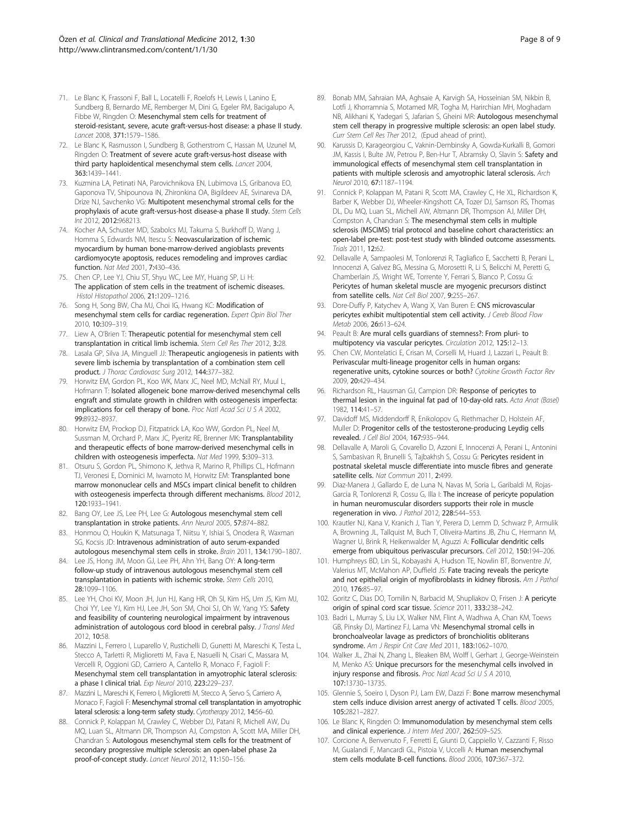- <span id="page-7-0"></span>71. Le Blanc K, Frassoni F, Ball L, Locatelli F, Roelofs H, Lewis I, Lanino E, Sundberg B, Bernardo ME, Remberger M, Dini G, Egeler RM, Bacigalupo A, Fibbe W, Ringden O: Mesenchymal stem cells for treatment of steroid-resistant, severe, acute graft-versus-host disease: a phase II study. Lancet 2008, 371:1579–1586.
- 72. Le Blanc K, Rasmusson I, Sundberg B, Gotherstrom C, Hassan M, Uzunel M, Ringden O: Treatment of severe acute graft-versus-host disease with third party haploidentical mesenchymal stem cells. Lancet 2004, 363:1439–1441.
- 73. Kuzmina LA, Petinati NA, Parovichnikova EN, Lubimova LS, Gribanova EO, Gaponova TV, Shipounova IN, Zhironkina OA, Bigildeev AE, Svinareva DA, Drize NJ, Savchenko VG: Multipotent mesenchymal stromal cells for the prophylaxis of acute graft-versus-host disease-a phase II study. Stem Cells Int 2012, 2012:968213.
- 74. Kocher AA, Schuster MD, Szabolcs MJ, Takuma S, Burkhoff D, Wang J, Homma S, Edwards NM, Itescu S: Neovascularization of ischemic myocardium by human bone-marrow-derived angioblasts prevents cardiomyocyte apoptosis, reduces remodeling and improves cardiac function. Nat Med 2001, 7:430–436.
- 75. Chen CP, Lee YJ, Chiu ST, Shyu WC, Lee MY, Huang SP, Li H: The application of stem cells in the treatment of ischemic diseases. Histol Histopathol 2006, 21:1209–1216.
- 76. Song H, Song BW, Cha MJ, Choi IG, Hwang KC: Modification of mesenchymal stem cells for cardiac regeneration. Expert Opin Biol Ther 2010, 10:309–319.
- 77. Liew A, O'Brien T: Therapeutic potential for mesenchymal stem cell transplantation in critical limb ischemia. Stem Cell Res Ther 2012, 3:28.
- 78. Lasala GP, Silva JA, Minguell JJ: Therapeutic angiogenesis in patients with severe limb ischemia by transplantation of a combination stem cell product. J Thorac Cardiovasc Surg 2012, 144:377–382.
- 79. Horwitz EM, Gordon PL, Koo WK, Marx JC, Neel MD, McNall RY, Muul L, Hofmann T: Isolated allogeneic bone marrow-derived mesenchymal cells engraft and stimulate growth in children with osteogenesis imperfecta: implications for cell therapy of bone. Proc Natl Acad Sci U S A 2002, 99:8932–8937.
- 80. Horwitz EM, Prockop DJ, Fitzpatrick LA, Koo WW, Gordon PL, Neel M, Sussman M, Orchard P, Marx JC, Pyeritz RE, Brenner MK: Transplantability and therapeutic effects of bone marrow-derived mesenchymal cells in children with osteogenesis imperfecta. Nat Med 1999, 5:309–313.
- 81. Otsuru S, Gordon PL, Shimono K, Jethva R, Marino R, Phillips CL, Hofmann TJ, Veronesi E, Dominici M, Iwamoto M, Horwitz EM: Transplanted bone marrow mononuclear cells and MSCs impart clinical benefit to children with osteogenesis imperfecta through different mechanisms. Blood 2012, 120:1933–1941.
- 82. Bang OY, Lee JS, Lee PH, Lee G: Autologous mesenchymal stem cell transplantation in stroke patients. Ann Neurol 2005, 57:874–882.
- 83. Honmou O, Houkin K, Matsunaga T, Niitsu Y, Ishiai S, Onodera R, Waxman SG, Kocsis JD: Intravenous administration of auto serum-expanded autologous mesenchymal stem cells in stroke. Brain 2011, 134:1790–1807.
- 84. Lee JS, Hong JM, Moon GJ, Lee PH, Ahn YH, Bang OY: A long-term follow-up study of intravenous autologous mesenchymal stem cell transplantation in patients with ischemic stroke. Stem Cells 2010, 28:1099–1106.
- 85. Lee YH, Choi KV, Moon JH, Jun HJ, Kang HR, Oh SI, Kim HS, Um JS, Kim MJ, Choi YY, Lee YJ, Kim HJ, Lee JH, Son SM, Choi SJ, Oh W, Yang YS: Safety and feasibility of countering neurological impairment by intravenous administration of autologous cord blood in cerebral palsy. J Transl Med 2012, 10:58.
- 86. Mazzini L, Ferrero I, Luparello V, Rustichelli D, Gunetti M, Mareschi K, Testa L, Stecco A, Tarletti R, Miglioretti M, Fava E, Nasuelli N, Cisari C, Massara M, Vercelli R, Oggioni GD, Carriero A, Cantello R, Monaco F, Fagioli F: Mesenchymal stem cell transplantation in amyotrophic lateral sclerosis: a phase I clinical trial. Exp Neurol 2010, 223:229–237.
- 87. Mazzini L, Mareschi K, Ferrero I, Miglioretti M, Stecco A, Servo S, Carriero A, Monaco F, Fagioli F: Mesenchymal stromal cell transplantation in amyotrophic lateral sclerosis: a long-term safety study. Cytotherapy 2012, 14:56–60.
- 88. Connick P, Kolappan M, Crawley C, Webber DJ, Patani R, Michell AW, Du MQ, Luan SL, Altmann DR, Thompson AJ, Compston A, Scott MA, Miller DH, Chandran S: Autologous mesenchymal stem cells for the treatment of secondary progressive multiple sclerosis: an open-label phase 2a proof-of-concept study. Lancet Neurol 2012, 11:150–156.
- 89. Bonab MM, Sahraian MA, Aghsaie A, Karvigh SA, Hosseinian SM, Nikbin B, Lotfi J, Khorramnia S, Motamed MR, Togha M, Harirchian MH, Moghadam NB, Alikhani K, Yadegari S, Jafarian S, Gheini MR: Autologous mesenchymal stem cell therapy in progressive multiple sclerosis: an open label study. Curr Stem Cell Res Ther 2012, (Epud ahead of print).
- 90. Karussis D, Karageorgiou C, Vaknin-Dembinsky A, Gowda-Kurkalli B, Gomori JM, Kassis I, Bulte JW, Petrou P, Ben-Hur T, Abramsky O, Slavin S: Safety and immunological effects of mesenchymal stem cell transplantation in patients with multiple sclerosis and amyotrophic lateral sclerosis. Arch Neurol 2010, 67:1187–1194.
- 91. Connick P, Kolappan M, Patani R, Scott MA, Crawley C, He XL, Richardson K, Barber K, Webber DJ, Wheeler-Kingshott CA, Tozer DJ, Samson RS, Thomas DL, Du MQ, Luan SL, Michell AW, Altmann DR, Thompson AJ, Miller DH, Compston A, Chandran S: The mesenchymal stem cells in multiple sclerosis (MSCIMS) trial protocol and baseline cohort characteristics: an open-label pre-test: post-test study with blinded outcome assessments. Trials 2011, 12:62.
- 92. Dellavalle A, Sampaolesi M, Tonlorenzi R, Tagliafico E, Sacchetti B, Perani L, Innocenzi A, Galvez BG, Messina G, Morosetti R, Li S, Belicchi M, Peretti G, Chamberlain JS, Wright WE, Torrente Y, Ferrari S, Bianco P, Cossu G: Pericytes of human skeletal muscle are myogenic precursors distinct from satellite cells. Nat Cell Biol 2007, 9:255-267.
- 93. Dore-Duffy P, Katychev A, Wang X, Van Buren E: CNS microvascular pericytes exhibit multipotential stem cell activity. J Cereb Blood Flow Metab 2006, 26:613-624.
- 94. Peault B: Are mural cells guardians of stemness?: From pluri- to multipotency via vascular pericytes. Circulation 2012, 125:12–13.
- 95. Chen CW, Montelatici E, Crisan M, Corselli M, Huard J, Lazzari L, Peault B: Perivascular multi-lineage progenitor cells in human organs: regenerative units, cytokine sources or both? Cytokine Growth Factor Rev 2009, 20:429–434.
- 96. Richardson RL, Hausman GJ, Campion DR: Response of pericytes to thermal lesion in the inguinal fat pad of 10-day-old rats. Acta Anat (Basel) 1982, 114:41–57.
- 97. Davidoff MS, Middendorff R, Enikolopov G, Riethmacher D, Holstein AF, Muller D: Progenitor cells of the testosterone-producing Leydig cells revealed. J Cell Biol 2004, 167:935–944.
- 98. Dellavalle A, Maroli G, Covarello D, Azzoni E, Innocenzi A, Perani L, Antonini S, Sambasivan R, Brunelli S, Tajbakhsh S, Cossu G: Pericytes resident in postnatal skeletal muscle differentiate into muscle fibres and generate satellite cells. Nat Commun 2011, 2:499.
- 99. Diaz-Manera J, Gallardo E, de Luna N, Navas M, Soria L, Garibaldi M, Rojas-Garcia R, Tonlorenzi R, Cossu G, Illa I: The increase of pericyte population in human neuromuscular disorders supports their role in muscle regeneration in vivo. J Pathol 2012, 228:544–553.
- 100. Krautler NJ, Kana V, Kranich J, Tian Y, Perera D, Lemm D, Schwarz P, Armulik A, Browning JL, Tallquist M, Buch T, Oliveira-Martins JB, Zhu C, Hermann M, Wagner U, Brink R, Heikenwalder M, Aguzzi A: Follicular dendritic cells emerge from ubiquitous perivascular precursors. Cell 2012, 150:194–206.
- 101. Humphreys BD, Lin SL, Kobayashi A, Hudson TE, Nowlin BT, Bonventre JV, Valerius MT, McMahon AP, Duffield JS: Fate tracing reveals the pericyte and not epithelial origin of myofibroblasts in kidney fibrosis. Am J Pathol 2010, 176:85–97.
- 102. Goritz C, Dias DO, Tomilin N, Barbacid M, Shupliakov O, Frisen J: A pericyte origin of spinal cord scar tissue. Science 2011, 333:238–242.
- 103. Badri L, Murray S, Liu LX, Walker NM, Flint A, Wadhwa A, Chan KM, Toews GB, Pinsky DJ, Martinez FJ, Lama VN: Mesenchymal stromal cells in bronchoalveolar lavage as predictors of bronchiolitis obliterans syndrome. Am J Respir Crit Care Med 2011, 183:1062-1070.
- 104. Walker JL, Zhai N, Zhang L, Bleaken BM, Wolff I, Gerhart J, George-Weinstein M, Menko AS: Unique precursors for the mesenchymal cells involved in injury response and fibrosis. Proc Natl Acad Sci U S A 2010, 107:13730–13735.
- 105. Glennie S, Soeiro I, Dyson PJ, Lam EW, Dazzi F: Bone marrow mesenchymal stem cells induce division arrest anergy of activated T cells. Blood 2005, 105:2821–2827.
- 106. Le Blanc K, Ringden O: Immunomodulation by mesenchymal stem cells and clinical experience. J Intern Med 2007, 262:509-525.
- 107. Corcione A, Benvenuto F, Ferretti E, Giunti D, Cappiello V, Cazzanti F, Risso M, Gualandi F, Mancardi GL, Pistoia V, Uccelli A: Human mesenchymal stem cells modulate B-cell functions. Blood 2006, 107:367–372.